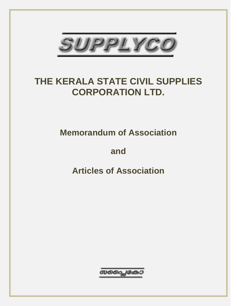

# **THE KERALA STATE CIVIL SUPPLIES CORPORATION LTD.**

**Memorandum of Association**

**and**

**Articles of Association**

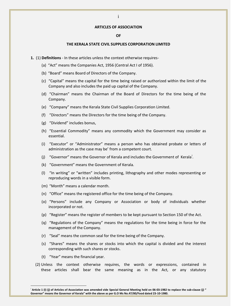#### **ARTICLES OF ASSOCIATION**

# **OF**

## **THE KERALA STATE CIVIL SUPPLIES CORPORATION LIMITED**

- **1.** (1) **Definitions** In these articles unless the context otherwise requires-
	- (a) "Act" means the Companies Act, 1956 (Central Act I of 1956).
	- (b) "Board" means Board of Directors of the Company.
	- (c) "Capital" means the capital for the time being raised or authorized within the limit of the Company and also includes the paid up capital of the Company.
	- (d) "Chairman" means the Chairman of the Board of Directors for the time being of the Company.
	- (e) "Company" means the Kerala State Civil Supplies Corporation Limited.
	- (f) "Directors" means the Directors for the time being of the Company.
	- (g) "Dividend" includes bonus,
	- (h) "Essential Commodity" means any commodity which the Government may consider as essential.
	- (i) "Executor" or "Administrator" means a person who has obtained probate or letters of administration as the case may be' from a competent court.
	- (j) "Governor" means the Governor of Kerala and includes the Government of Kerala<sup>i</sup>.
	- (k) "Government" means the Government of Kerala.
	- (l) "In writing" or "written" includes printing, lithography and other modes representing or reproducing words in a visible form.
	- (m) "Month" means a calendar month.
	- (n) "Office" means the registered office for the time being of the Company.
	- (o) "Persons" include any Company or Association or body of individuals whether incorporated or not.
	- (p) "Register" means the register of members to be kept pursuant to Section 150 of the Act.
	- (q) "Regulations of the Company" means the regulations for the time being in force for the management of the Company.
	- (r) "Seal" means the common seal for the time being of the Company.
	- (s) "Shares" means the shares or stocks into which the capital is divided and the interest corresponding with such shares or stocks.
	- (t) "Year" means the financial year.

 $\overline{a}$ 

 (2) Unless the context otherwise requires, the words or expressions, contained in these articles shall bear the same meaning as in the Act, or any statutory

i **Article 1 (I) (j) of Articles of Association was amended vide Special General Meeting held on 06-03-1982 to replace the sub-clause (j) " Governor" means the Governor of Kerala" with the above as per G.O Ms No.47/80/Food dated 23-10-1980.**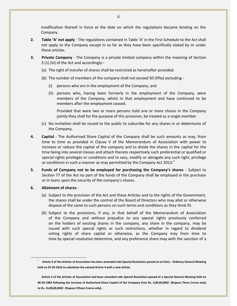modification thereof in force at the date on which the regulations became binding on the Company.

- **2. Table 'A' not apply** The regulations contained in Table 'A' in the First Schedule to the Act shall not apply to the Company except in so far as they have been specifically stated by or under these articles.
- **3. Private Company** The Company is a private limited company within the meaning of Section 3 (1) (iii) of the Act and accordingly:-
	- (a) The right of transfer of shares shall be restricted as hereinafter provided.
	- (b) The number of members of the company shall not exceed 50 (fifty) excluding
		- (i) persons who are in the employment of the Company, and
		- (ii) persons who, having been formerly in the employment of the Company, were members of the Company, whilst in that employment and have continued to be members after the employment ceased.

Provided that were two or more persons hold one or more shares in the Company jointly they shall for the purpose of this provision, be treated as a single member.

- (c) No invitation shall be issued to the public to subscribe for any shares in or debentures of the Company.
- **4. Capital** The Authorised Share Capital of the Company shall be such amounts as may, from time to time as provided in Clause V of the Memorandum of Association with power to increase or reduce the capital of the company and to divide the shares in the capital for the time being into several classes and attach thereto respectively such preferential or qualified or special rights privileges or conditions and to vary, modify or abrogate any such right, privilege or conditions in such a manner as may permitted by the Company Act 2013. $^{\text{II}}$
- **5. Funds of Company not to be employed for purchasing the Company's shares** Subject to Section 77 of the Act no part of the funds of the Company shall be employed in the purchase or in loans upon the security of the company's shares.
- **6. Allotment of shares** -

- (a) Subject to the provision of the Act and these Articles and to the rights of the Government, the shares shall be under the control of the Board of Directors who may allot or otherwise dispose of the same to such persons on such terms and conditions as they think fit.
- (b) Subject to the provisions, if any, in that behalf of the Memorandum of Association of the Company and without prejudice to any special rights previously conferred on the holders of existing shares in the company, any share in the company, may be issued with such special rights or such restrictions, whether in regard to dividend voting rights of share capital or otherwise, as the Company may from time to time by special resolution determine, and any preference share may with the sanction of a

Article 4 of the Articles of Association has been amended vide Special Resolution passed at an Extra - Ordinary General Meeting **held on 07-05-2016 to substitute the existed Article 4 with a new Article.** 

**Article 4 of the Articles of Association had been amended vide Special Resolution passed at a Special General Meeting held on 06-03-1982 following the increase of Authorised Share Capital of the Company from Rs. 3,00,00,000/- (Rupees Three Crores only) to Rs. 15,00,00,000/- (Rupees Fifteen Crores only).**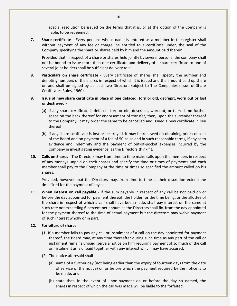special resolution be issued on the terms that it is, or at the option of the Company is liable, to be redeemed.

**7. Share certificate** - Every persons whose name is entered as a member in the register shall without payment of any fee or charge, be entitled to a certificate under, the seal of the Company specifying the share or shares held by him and the amount paid therein.

Provided that in respect of a share or shares held jointly by several persons, the company shall not be bound to issue more than one certificate and delivery of a share certificate to one of several joint holders shall be sufficient delivery to all.

- **8. Particulars on share certificate** Every certificate of shares shall specify the number and denoting numbers of the shares in respect of which it is issued and the amount paid up there on and shall be signed by at least two Directors subject to The Companies (Issue of Share Certificates Rules, 1960).
- **9. Issue of new share certificate in place of one defaced, torn or old, decrepit, worn out or lost or destroyed** -
	- (a) If any share certificate is defaced, torn or old, descrepit, wornout, or there is no further space on the back thereof for endorsement of transfer, then, upon the surrender thereof to the Company, it may order the same to be cancelled and issued a new certificate in lieu thereof.
	- (b) If any share certificate is lost or destroyed, it may be renewed on obtaining prior consent of the Board and on payment of a fee of 50 paise and in such reasonable terms, if any as to evidence and indemnity and the payment of out-of-pocket expenses incurred by the Company in investigating evidence, as the Directors think fit.
- **10. Calls on Shares** The Directors may from time to time make calls upon the members in respect of any moneys unpaid on their shares and specify the time or times of payments and each member shall pay to the Company at the time or times so specified the amount called on his shares.

Provided, however that the Directors may, from time to time at their discretion extend the time fixed for the payment of any call.

**11. When interest on call payable** - If the sum payable in respect of any call be not paid on or before the day appointed for payment thereof, the holder for the time being, or the allottee of the share in respect of which a call shall have been made, shall pay interest on the same at such rate not exceeding 6 percent per annum as the Directors shall fix, from the day appointed for the payment thereof to the time of actual payment but the directors may waive payment of such interest wholly or in part.

# **12. Forfeiture of shares** -

- (1) If a member fails to pay any call or instalment of a call on the day appointed for payment thereof, the Board may, at any time thereafter during such time as any part of the call or instalment remains unpaid, serve a notice on him requiring payment of so much of the call or instalment as is unpaid together with any interest which may have accured.
- (2) The notice aforesaid shall-
	- (a) name of a further day (not being earlier than the expiry of fourteen days from the date of service of the notice) on or before which the payment required by the notice is to be made; and
	- (b) state that, in the event of non-payment on or before the day so named, the shares in respect of which the call was made will be liable to the forfeited.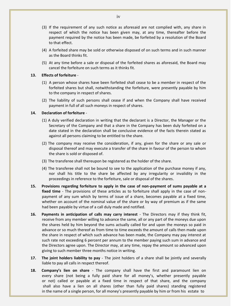- (3) If the requirement of any such notice as aforesaid are not complied with, any share in respect of which the notice has been given may, at any time, thereafter before the payment required by the notice has been made, be forfeited by a resolution of the Board to that effect.
- (4) A forfeited share may be sold or otherwise disposed of on such terms and in such manner as the Board thinks fit.
- (5) At any time before a sale or disposal of the forfeited shares as aforesaid, the Board may cancel the forfeiture on such terms as it thinks fit.

## **13. Effects of forfeiture** -

- (1) A person whose shares have been forfeited shall cease to be a member in respect of the forfeited shares but shall, notwithstanding the forfeiture, were presently payable by him to the company in respect of shares.
- (2) The liability of such persons shall cease if and when the Company shall have received payment in full of all such moneys in respect of shares.

## **14. Declaration of forfeiture** -

- (1) A duly verified declaration in writing that the declarant is a Director, the Manager or the Secretary of the Company and that a share in the Company has been duly forfeited on a date stated in the declaration shall be conclusive evidence of the facts therein stated as against all persons claiming to be entitled to the share.
- (2) The company may receive the consideration, if any, given for the share or any sale or disposal thereof and may execute a transfer of the share in favour of the person to whom the share is sold or disposed of.
- (3) The transferee shall thereupon be registered as the holder of the share.
- (4) The transferee shall not be bound to see to the application of the purchase money if any, nor shall his title to the share be affected by any irregularity or invalidity in the proceedings in reference to the forfeiture, sale or disposal of the shares.
- **15. Provisions regarding forfeiture to apply in the case of non-payment of sums payable at a fixed time** - The provisions of these articles as to forfeiture shall apply in the case of nonpayment of any sum which by terms of issue of a share, becomes payable at a fixed time, whether on account of the nominal value of the share or by way of premium as if the same had been payable by virtue of a call duly made and notified.
- **16. Payments in anticipation of calls may carry interest** The Directors may if they think fit, receive from any member willing to advance the same, all or any part of the moneys due upon the shares held by him beyond the sums actually called for and upon the moneys so paid in advance or so much thereof as from time to time exceeds the amount of calls then made upon the share in respect of which such advance has been made, the Company may pay interest at such rate not exceeding 6 percent per annum to the member paying such sum in advance and the Directors agree upon. The Director may, at any time, repay the amount so advanced upon giving to such member three months notice in writing.
- **17. The joint holders liability to pay** The joint holders of a share shall be jointly and severally liable to pay all calls in respect thereof.
- **18. Company's lien on share** The company shall have the first and paramount lien on every share (not being a fully paid share for all money's, whether presently payable or not) called or payable at a fixed time in respect of that share, and the company shall also have a lien on all shares (other than fully paid shares) standing registered in the name of a single person, for all money's presently payable by him or from his estate to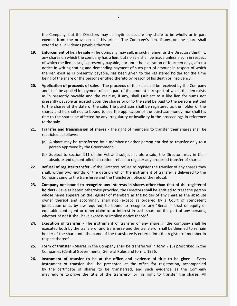the Company, but the Directors may at anytime, declare any share to be wholly or in part exempt from the provisions of this article. The Company's lien, if any, on the share shall extend to all dividends payable thereon.

- **19. Enforcement of lien by sale** The Company may sell, in such manner as the Directors think fit, any shares on which the company has a lien, but no sale shall be made unless a sum in respect of which the lien exists, is presently payable, nor until the expiration of fourteen days, after a notice in writing stating and demanding payment of such part of amount in respect of which the lien exist as is presently payable, has been given to the registered holder for the time being of the share or the persons entitled thereto by reason of his death or insolvency.
- **20. Application of proceeds of sales** The proceeds of the sale shall be received by the Company and shall be applied in payment of such part of the amount in respect of which the lien exists as in presently payable and the residue, if any, shall (subject to a like lien for sums not presently payable as existed upon the shares prior to the sale) be paid to the persons entitled to the shares at the date of the sale, The purchaser shall be registered as the holder of the shares and he shall not to bound to see the application of the purchase money, nor shall his title to the shares be affected by any irregularity or invalidity in the proceedings in reference to the sale.
- **21. Transfer and transmission of shares** The right of members to transfer their shares shall be restricted as follows:-
	- (a) A share may be transferred by a member or other person entitled to transfer only to a person approved by the Government.
	- (b) Subject to section 111 of the Act and subject as afore-said, the Directors may in their absolute and uncontrolled discretion, refuse to register any proposed transfer of shares.
- **22. Refusal of register transfer** If the Directors refuse to register the transfer of any shares they shall, within two months of the date on which the instrument of transfer is delivered to the Company send to the transferee and the transferor notice of the refusal.
- **23. Company not bound to recognize any interests in shares other than that of the registered holders** - Save as herein otherwise provided, the Directors shall be entitled to treat the person whose name appears on the register of members as the holder of any share as the absolute owner thereof and accordingly shall not (except as ordered by a Court of competent jurisdiction or as by law required) be bound to recognise any "Benami" trust or equity or equitable contingent or other claim to or interest in such share on the part of any persons, whether or not it shall have express or implied notice thereof.
- **24. Execution of transfer** The instrument of transfer of any share in the company shall be executed both by the transferor and transferee and the transferor shall be deemed to remain holder of the share until the name of the transferee is entered into the register of member in respect thereof.
- **25. Form of transfer** Shares in the Company shall be transferred in form 7 (B) prescribed in the Companies (Central Governments) General Rules and forms, 1956.
- **26. Instrument of transfer to be at the office and evidence of title to be given** Every instrument of transfer shall be presented at the office for registration, accompanied by the certificate of shares to be transferred, and such evidence as the Company may require to prove the title of the transferor or his right to transfer the shares . All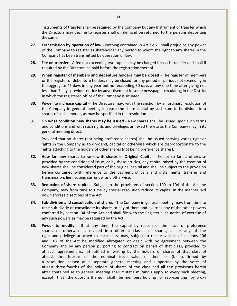instruments of transfer shall be retained by the Company but any Instrument of transfer which the Directors may decline to register shall on demand be returned to the persons depositing the same.

- **27. Transmission by operation of law** Nothing contained in Article 21 shall prejudice any power of the Company to register as shareholder any person to whom the right to any shares in the Company has been transmitted by operation of law.
- **28. Fee on transfer** A fee not exceeding two rupees may be charged for each transfer and shall if required by the Directors be paid before the registration thereof.
- **29. When register of members and debenture holders may be closed** The register of members or the register of debenture holders may be closed for any period or periods not exceeding in the aggregate 45 days in any year but not exceeding 30 days at any one time after giving not less than 7 days previous notice by advertisement in some newspaper circulating in the District in which the registered office of the Company is situated.
- **30. Power to increase capital** The Directors may, with the sanction by an ordinary resolution of the Company in general meeting increase the share capital by such sum to be divided into shares of such amount, as may be specified in the resolution.
- **31. On what condition new shares may be issued** New shares shall be issued upon such terms and conditions and with such rights and privileges annexed thereto as the Company may in its general meeting direct:

Provided that no shares (not being preference shares) shall be issued carrying voting right or rights in the Company as to dividend, capital or otherwise which are disproportionate to the rights attaching to the holders of other shares (not being preference shares).

- **32. How far new shares to rank with shares in Original Capital** Except so far as otherwise provided by the conditions of issue, or by these articles, any capital raised by the creation of new shares shall be considered part of the original capital and shall be subject to the provision herein contained with reference to the payment of calls and installments, transfer and transmission, lien, voting, surrender and otherwise.
- **33. Reduction of share capital** Subject to the provisions of section 100 to 104 of the Act the Company, may from time to time by special resolution reduce its capital in the manner laid down aforesaid sections of the Act.
- **34. Sub-division and consolidation of shares** The Company in general meeting may, from time to time sub-divide or consolidate its shares or any of them and exercise any of the other powers conferred by section 94 of the Act and shall file with the Register such notice of exercise of any such powers as may be required by the Act.
- **35. Power to modify** If at any time, the capital by reason of the issue of preference shares or otherwise is divided into different classes of shares, all or any of the right and privilege attached to each class, may, subject to the provisions of sections 106 and 107 of the Act be modified abrogated or dealt with by agreement between the Company and by any person purporting to contract on behalf of that class, provided to at such agreement is: (a) ratified in writing by the holders of shares of that class of atleast three-fourths of the nominal issue value of them or (b) confirmed by a resolution passed at a separate general meeting and supported by the votes of atleast three-fourths of the holders of shares of the class and all the provisions herein after contained as to general meeting shall mutatis mutandis apply to every such meeting, except that the quorum thereof shall be members holding or representing by proxy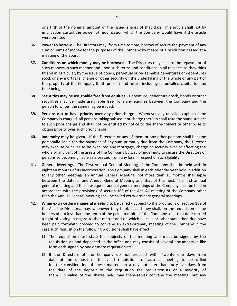one fifth of the nominal amount of the issued shares of that class. This article shall not by implication curtail the power of modification which the Company would have if the article were omitted.

- **36. Power to borrow** The Directors may, from time to time, borrow of secure the-payment of any sum or sums of money for the purposes of the Company by means of a resolution passed at a meeting of the Board.
- **37. Conditions on which money may be borrowed** The Directors may, secure the repayment of such moneys in such manner and upon such terms and conditions in all respects as they think fit and in particular, by the issue of bonds, perpetual or redeemable debentures or debentures stock or any mortgage, charge or other security on the undertaking of the whole or any part of the property of the Company (both present and future including its uncalled capital for the time being).
- **38. Securities may be assignable free from equities** Debenture, debenture-stock, bonds or other securities may be made assignable free from any equities between the Company and the person to whom the same may be issued.
- **39. Persons not to have priority over any prior charge** Whenever any uncalled capital of the Company is charged, all persons taking subsequent charge thereon shall take the same subject to such prior charge and shall not be entitled by notice to the share-holders or other wise to obtain priority over such prior charge.
- **40. Indemnity may be given** If the Directors or any of them or any other persons shall become personally liable for the payment of any sum primarily due from the Company, the Director may execute or cause to be executed any mortgage, charge or security over or affecting the whole or any part of the assets of the Company by way of indemnity to secure the Directors or persons so becoming liable as aforesaid from any loss in respect of such liability.
- **41. General Meetings** The First Annual General Meeting of the Company shall be held with in eighteen months of its incorporation. The Company shall in each calendar year hold in addition to any other meetings an Annual General Meeting, not more than 15 months shall lapse between the date of one Annual General Meeting and that of the next. The first annual general meeting and the subsequent annual general meetings of the Company shall be held in accordance with the provisions of section 166 of the Act. All meeting of the Company other than the Annual General Meeting shall be called extra-ordinary general meetings.
- **42. When extra-ordinary general meeting to be called** Subject to the provisions of section 169 of the Act, the Directors, may, whenever they think fit and they shall, on the requisition of the holders of not less than one-tenth of the paid up capital of the Company as at that date carried a right of voting in regard to that matter and on which all calls or other sums then due have been paid forthwith proceed to convene an extra-ordinary meeting of the Company in the case such requisition the following provisions shall have effect:
	- (1) The requisition must state the subjects of the meeting and must be signed by the requisitionists and deposited at the office and may consist of several documents in like form each signed by one or more requisitionists.
	- (2) If the Directors of the Company do not proceed within-twenty one days from date of the deposit of the valid requisition to cause a meeting to be called for the consideration of these matters on a day not later than forty-five days from the date of the deposit of the requisition the requisitionists or a majority of them in value of the shares held may them-selves convene the meeting, but any

vii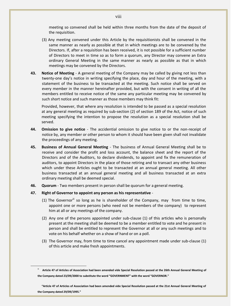meeting so convened shall be held within three months from the date of the deposit of the requisition.

- (3) Any meeting convened under this Article by the requisitionists shall be convened in the same manner as nearly as possible at that in which meetings are to be convened by the Directors. If, after a requisition has been received, it is not possible for a sufficient number of Directors to meet in time so as to form a quorum, any Director may convene an Extra ordinary General Meeting in the same manner as nearly as possible as that in which meetings may be convened by the Directors.
- **43. Notice of Meeting** A general meeting of the Company may be called by giving not less than twenty-one day's notice in writing specifying the place, day and hour of the meeting, with a statement of the business to be transacted at the meeting. Such notice shall be served on every member in the manner hereinafter provided, but with the consent in writing of all the members entitled to receive notice of the same any particular meeting may be convened by such short notice and such manner as those members may think fit:

Provided, however, that where any resolution is intended to be passed as a special resolution at any general meeting as required by sub-section (2) of section 189 of the Act, notice of such meeting specifying the intention to propose the resolution as a special resolution shall be served.

- **44. Omission to give notice** The accidential omission to give notice to or the non-receipt of notice by, any member or other person to whom it should have been given shall not invalidate the proceedings of any meeting.
- **45. Business of Annual General Meeting** The business of Annual General Meeting shall be to receive and consider the profit and loss account, the balance sheet and the report of the Directors and of the Auditors, to declare dividends, to appoint and fix the remuneration of auditors, to appoint Directors in the place of those retiring and to transact any other business which under these Articles ought to be transacted at an annual general meeting. All other business transacted at an annual general meeting and all business transacted at an extra ordinary meeting shall be deemed special.
- **46. Quorum** Two members present in person shall be quorum for a general meeting.

## **47. Right of Governor to appoint any person as his representative** -

- (1) The Governor<sup>ii</sup> so long as he is shareholder of the Company, may from time to time, appoint one or more persons (who need not be members of the company) to represent him at all or any meetings of the company.
- (2) Any one of the persons appointed under sub-clause (1) of this articles who is personally present at the meeting shall be deemed to be a member entitled to vote and he present in person and shall be entitled to represent the Governor at all or any such meetings and to vote on his behalf whether on a show of hand or on a poll.
- (3) The Governor may, from time to time cancel any appointment made under sub-clause (1) of this article and make fresh appointments.

Article 47 of Articles of Association had been amended vide Special Resolution passed at the 26th Annual General Meeting of **the Company dated 23/09/2000 to substitute the word "GOVERNMENT" with the word "GOVERNOR."** 

**<sup>&</sup>quot;Article 47 of Articles of Association had been amended vide Special Resolution passed at the 21st Annual General Meeting of the Company dated 29/09/1995."**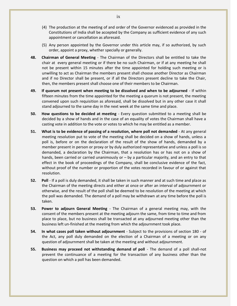- (4) The production at the meeting of and order of the Governor evidenced as provided in the Constitutions of India shall be accepted by the Company as sufficient evidence of any such appointment or cancellation as aforesaid.
- (5) Any person appointed by the Governor under this article may, if so authorized, by such order, appoint a proxy, whether specially or generally.
- **48. Chairman of General Meeting** The Chairman of the Directors shall be entitled to take the chair at every general meeting or if there be no such Chairman, or if at any meeting he shall not be present within 15 minutes after the time appointed for holding such meeting or is unwilling to act as Chairman the members present shall choose another Director as Chairman and if no Director shall be present, or if all the Directors present decline to take the Chair, then, the members present shall choose one of their members to be Chairman.
- **49. If quorum not present when meeting to be dissolved and when to be adjourned** If within fifteen minutes from the time appointed for the meeting a quorum is not present, the meeting convened upon such requisition as aforesaid, shall be dissolved but in any other case it shall stand adjourned to the same day in the next week at the same time and place.
- **50. How questions to be decided at meeting** Every question submitted to a meeting shall be decided by a show of hands and in the case of an equality of votes the Chairman shall have a casting vote in addition to the vote or votes to which he may be entitled as a member.
- **51. What is to be evidence of passing of a resolution, where poll not demanded** At any general meeting resolution put to vote of the meeting shall be decided on a show of hands, unless a poll is, before or on the declaration of the result of the show of hands, demanded by a member present in person or proxy or by duly authorized representative and unless a poll is so demanded, a declaration by the Chairman, that a resolution has or has not on a show of hands, been carried or carried unanimously or  $-$  by a particular majority, and an entry to that effect in the book of proceedings of the Company, shall be conclusive evidence of the fact, without proof of the number or proportion of the votes recorded in favour of or against that resolution.
- **52. Poll** If a poll is duly demanded, it shall be taken in such manner and at such time and place as the Chairman of the meeting directs and either at once or after an interval of adjournment or otherwise, and the result of the poll shall be deemed to be resolution of the meeting at which the poll was demanded. The demand of a poll may be withdrawn at any time before the poll is taken.
- **53. Power to adjourn General Meeting** The Chairman of a general meeting may, with the consent of the members present at the meeting adjourn the same, from time to time and from place to place, but no business shall be transacted at any adjourned meeting other than the business left un-finished at the meeting from which the adjournment took place.
- **54. In what cases poll taken without adjournment** Subject to the provisions of section 180 of the Act, any poll duly demanded on the election of a Chairman of a meeting or on any question of adjournment shall be taken at the meeting and without adjournment.
- **55. Business may proceed not withstanding demand of poll** The demand of a poll shall-not prevent the continuance of a meeting for the transaction of any business other than the question on which a poll has been demanded.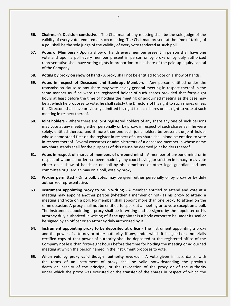- **56. Chairman's Decision conclusive** The Chairman of any meeting shall be the sole judge of the validity of every vote tendered at such meeting. The Chairman present at the time of taking of a poll shall be the sole judge of the validity of every vote tendered at such poll.
- **57. Votes of Members** Upon a show of hands every member present in person shall have one vote and upon a poll every member present in person or by proxy or by duly authorized representative shall have voting rights in proportion to his share of the paid up equity capital of the Company.
- **58. Voting by proxy on show of hand** A proxy shall not be entitled to vote on a show of hands.
- **59. Votes in respect of Deceased and Bankrupt Members** Any person entitled under the transmission clause to any share may vote at any general meeting in respect thereof in the same manner as if he were the registered holder of such shares provided that forty-eight hours at least before the time of holding the meeting or adjourned meeting as the case may be at which he proposes to vote, he shall satisfy the Directors of his right to such shares unless the Directors shall have previously admitted his right to such shares on his right to vote at such meeting in respect thereof.
- **60. Joint holders** Where there are joint registered holders of any share any one of such persons may vote at any meeting either personally or by proxy, in respect of such shares as if he were solely, entitled thereto, and if more than one such joint holders be present the joint holder whose name stand first on the register in respect of such share shall alone be entitled to vote in respect thereof. Several executors or administrators of a deceased member in whose name any share stands shall for the purposes of this clause be deemed joint holders thereof.
- **61. Votes in respect of shares of members of unsound mind** A member of unsound mind or in respect of whom an order has been made by any court having jurisdiction in lunacy, may vote either on a show of hands or on poll by his committee or other legal guardian and any committee or guardian may on a poll, vote by proxy.
- **62. Proxies permitted** On a poll, votes may be given either personally or by proxy or by duly authorized representative.
- **63. Instrument appointing proxy to be in writing** A member entitled to attend and vote at a meeting may appoint another person (whether a member or not) as his proxy to attend a meeting and vote on a poll. No member shall appoint more than one proxy to attend on the same occasion. A proxy shall not be entitled to speak at a meeting or to vote except on a poll. The instrument appointing a proxy shall be in writing and be signed by the appointer or his attorney duly authorized in writing of if the appointer is a body corporate be under its seal or be signed by an officer or an attorney duly authorized by it.
- **64. Instrument appointing proxy to be deposited at office** The instrument appointing a proxy and the power of attorney or other authority, if any, under which it is signed or a notarially certified copy of that power of authority shall be deposited at the registered office of the Company not less than forty-eight hours before the time for holding the meeting or adjourned meeting at which the person named in the instrument proposes to vote.
- **65. When vote by proxy valid though authority revoked** A vote given in accordance with the terms of an instrument of proxy shall be valid notwithstanding the previous death or insanity of the principal, or the revocation of the proxy or of the authority under which the proxy was executed or the transfer of the shares in respect of which the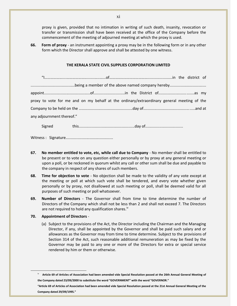proxy is given, provided that no intimation in writing of such death, insanity, revocation or transfer or transmission shall have been received at the office of the Company before the commencement of the meeting of adjourned meeting at which the proxy is used.

**66. Form of proxy** - an instrument appointing a proxy may be in the following form or in any other form which the Director shall approve and shall be attested by one witness.

#### **THE KERALA STATE CIVIL SUPPLIES CORPORATION LIMITED**

|                           | proxy to vote for me and on my behalf at the ordinary/extraordinary general meeting of the |  |  |  |
|---------------------------|--------------------------------------------------------------------------------------------|--|--|--|
|                           |                                                                                            |  |  |  |
| any adjournment thereof." |                                                                                            |  |  |  |
|                           |                                                                                            |  |  |  |

Witness : Signature............................................

- **67. No member entitled to vote, etc, while call due to Company** No member shall be entitled to be present or to vote on any question either personally or by proxy at any general meeting or upon a poll, or be reckoned in quorum whilst any call or other sum shall be due and payable to the company in respect of any shares of such members.
- **68. Time for objection to vote** No objection shall be made to the validity of any vote except at the meeting or poll at which such vote shall be tendered, and every vote whether given personally or by proxy, not disallowed at such meeting or poll, shall be deemed valid for all purposes of such meeting or poll whatsoever.
- **69. Number of Directors** The Governor shall from time to time determine the number of Directors of the Company which shall not be less than 2 and shall not exceed 7. The Directors are not required to hold any qualification shares.<sup> $"$ </sup>

## **70. Appointment of Directors** -

 $\overline{a}$ 

(a) Subject to the provisions of the Act, the Director including the Chairman and the Managing Director, if any, shall be appointed by the Governor and shall be paid such salary and or allowances as the Governor may from time to time determine. Subject to the provisions of Section 314 of the Act, such reasonable additional remuneration as may be fixed by the Governor may be paid to any one or more of the Directors for extra or special service rendered by him or them or otherwise.

xi

iv **Article 69 of Articles of Association had been amended vide Special Resolution passed at the 26th Annual General Meeting of the Company dated 23/09/2000 to substitute the word "GOVERNMENT" with the word "GOVERNOR."**

**<sup>&</sup>quot;Article 69 of Articles of Association had been amended vide Special Resolution passed at the 21st Annual General Meeting of the Company dated 29/09/1995."**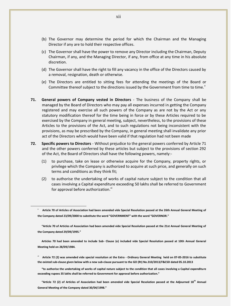- (b) The Governor may determine the period for which the Chairman and the Managing Director if any are to hold their respective offices.
- (c) The Governor shall have the power to remove any Director including the Chairman, Deputy Chairman, if any, and the Managing Director, if any, from office at any time in his absolute discretion.
- (d) The Governor shall have the right to fill any vacancy in the office of the Directors caused by a removal, resignation, death or otherwise.
- (e) The Directors are entitled to sitting fees for attending the meetings of the Board or Committee thereof subject to the directions issued by the Government from time to time.
- **71. General powers of Company vested in Directors** The business of the Company shall be managed by the Board of Directors who may pay all expenses incurred in getting the Company registered and may exercise all such powers of the Company as are not by the Act or any statutory modification thereof for the time being in force or by these Articles required to be exercised by the Company in general meeting, subject, nevertheless, to the provisions of these Articles to the provisions of the Act, and to such regulations not being inconsistent with the provisions, as may be prescribed by the Company, in general meeting shall invalidate any prior act of the Directors which would have been valid if that regulation had not been made
- **72. Specific powers to Directors** Without prejudice to the general powers conferred by Article 71 and the other powers conferred by these articles but subject to the provisions of section 292 of the Act, the Board of Directors shall have the following powers, namely:-
	- (1) to purchase, take on lease or otherwise acquire for the Company, property rights, or privilege which the Company is authorized to acquire at such price, and generally on such terms and conditions as they think fit;
	- (2) to authorise the undertaking of works of capital nature subject to the condition that all cases involving a Capital expenditure exceeding 50 lakhs shall be referred to Government for approval before authorization.<sup>vi</sup>

 $\overline{a}$ 

**Articles 70 had been amended to include Sub- Clause (e) included vide Special Resolution passed at 10th Annual General Meeting held on 28/09/1984.**

vi **Article 72 (2) was amended vide special resolution at the Extra - Ordinary General Meeting held on 07-05-2016 to substitute the existed sub-clause given below with a new sub-clause pursuant to the GO (Rt) No.310/2013/F&CSD dated 05.10.2013**

**"to authorise the undertaking of works of capital nature subject to the condition that all cases involving a Capital expenditure exceeding rupees 35 lakhs shall be referred to Government for approval before authorization."** 

**"Article 72 (2) of Articles of Association had been amended vide Special Resolution passed at the Adjourned 18th Annual General Meeting of the Company dated 30/04/1998."**

v **Article 70 of Articles of Association had been amended vide Special Resolution passed at the 26th Annual General Meeting of the Company dated 23/09/2000 to substitute the word "GOVERNMENT" with the word "GOVERNOR."** 

**<sup>&</sup>quot;Article 70 of Articles of Association had been amended vide Special Resolution passed at the 21st Annual General Meeting of the Company dated 29/09/1995."**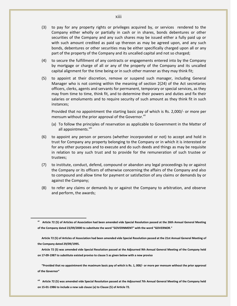- (3) to pay for any property rights or privileges acquired by, or services rendered to the Company either wholly or partially in cash or in shares, bonds debentures or other securities of the Company and any such shares may be issued either a fully paid up or with such amount credited as paid up thereon as may be agreed upon, and any such bonds, debentures or other securities may be either specifically charged upon all or any part of the property of the Company and its uncalled capital and not so charged;
- (4) to secure the fulfillment of any contracts or engagements entered into by the Company by mortgage or charge of all or any of the property of the Company and its uncalled capital alignment for the time being or in such other manner as they may think fit;
- (5) to appoint at their discretion, remove or suspend such manager, including General Manager who is not coming within the meaning of section 2(24) of the Act secretaries officers, clerks, agents and servants for permanent, temporary or special services, as they may from time to time, think fit, and to determine their powers and duties and fix their salaries or emoluments and to require security of such amount as they think fit in such instances;

Provided that no appointment the starting basic pay of which is Rs. 2,000/- or more per mensum without the prior approval of the Governor. Vii

- (a) To follow the principles of reservation as applicable to Government in the Matter of all appointments.<sup>viii</sup>
- (6) to appoint any person or persons (whether incorporated or not) to accept and hold in trust for Company any property belonging to the Company or in which it is interested or for any other purposes and to execute and do such deeds and things as may be requisite in relation to any such trust and to provide for the remuneration of such trustee or trustees;
- (7) to institute, conduct, defend, compound or abandon any legal proceedings by or against the Company or its officers of otherwise concerning the affairs of the Company and also to compound and allow time for payment or satisfaction of any claims or demands by or against the Company;
- (8) to refer any claims or demands by or against the Company to arbitration, and observe and perform, the awards;

 $\overline{a}$ 

**"Provided that no appointment the maximum basic pay of which is Rs. 1, 000/- or more per mensum without the prior approval of the Governor"**

**viii Article 72 (5) was amended vide Special Resolution passed at the Adjourned 7th Annual General Meeting of the Company held on 15-01-1986 to include a new sub clause (a) to Clause (5) of Article 72.**

**vii Article 72 (5) of Articles of Association had been amended vide Special Resolution passed at the 26th Annual General Meeting of the Company dated 23/09/2000 to substitute the word "GOVERNMENT" with the word "GOVERNOR."** 

**Article 72 (5) of Articles of Association had been amended vide Special Resolution passed at the 21st Annual General Meeting of the Company dated 29/09/1995.**

**Article 72 (5) was amended vide Special Resolution passed at the Adjourned 9th Annual General Meeting of the Company held on 17-09-1987 to substitute existed proviso to clause 5 as given below with a new proviso**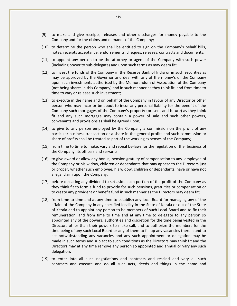- (9) to make and give receipts, releases and other discharges for money payable to the Company and for the claims and demands of the Company;
- (10) to determine the person who shall be entitled to sign on the Company's behalf bills, notes, receipts acceptance, endorsements, cheques, releases, contracts and documents;
- (11) to appoint any person to be the attorney or agent of the Company with such power (including power to sub-delegate) and upon such terms as may deem fit;
- (12) to invest the funds of the Company in the Reserve Bank of India or in such securities as may be approved by the Governor and deal with any of the money's of the Company upon such investments authorised by the Memorandum of Association of the Company (not being shares in this Company) and in such manner as they think fit, and from time to time to vary or release such investment;
- (13) to execute in the name and on behalf of the Company in favour of any Director or other person who may incur or be about to incur any personal liability for the benefit of the Company such mortgages of the Company's property (present and future) as they think fit and any such mortgage may contain a power of sale and such other powers, convenants and provisions as shall be agreed upon;
- (14) to give to any person employed by the Company a commission on the profit of any particular business transaction or a share in the general profits and such commission or share of profits shall be treated as part of the working expenses of the Company;
- (15) from time to time to make, vary and repeal by-laws for the regulation of the business of the Company, its officers and servants;
- (16) to give award or allow any bonus, pension gratuity of compensation to any employee of the Company or his widow, children or dependants that may appear to the Directors just or proper, whether such employee, his widow, children or dependants, have or have not a legal claim upon the Company;
- (17) before declaring any dividend to set aside such portion of the profit of the Company as they think fit to form a fund to provide for such pensions, gratuities or compensation or to create any provident or benefit fund in such manner as the Directors may deem fit;
- (18) from time to time and at any time to establish any local Board for managing any of the affairs of the Company in any specified locality in the State of Kerala or out of the State of Kerala and to appoint any person to be members of such Local Board and to fix their remuneration, and from time to time and at any time to delegate to any person so appointed any of the powers, authorities and discretion for the time being vested in the Directors other than their powers to make call, and to authorize the members for the time being of any such Local Board or any of them to fill up any vacancies therein and to act notwithstanding any vacancies and any such appointment or delegation may be made in such terms and subject to such conditions as the Directors may think fit and the Directors may at any time remove any person so appointed and annual or vary any such delegation;
- (19) to enter into all such negotiations and contracts and rescind and vary all such contracts and execute and do all such acts, deeds and things in the name and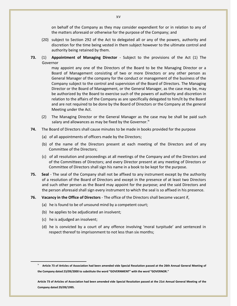on behalf of the Company as they may consider expendient for or in relation to any of the matters aforesaid or otherwise for the purpose of the Company; and

- (20) subject to Section 292 of the Act to delegated all or any of the powers, authority and discretion for the time being vested in them subject however to the ultimate control and authority being retained by them.
- **73.** (1) **Appointment of Managing Director** Subject to the provisions of the Act (1) The Governor

may appoint any one of the Directors of the Board to be the Managing Director or a Board of Management consisting of two or more Directors or any other person as General Manager of the company for the conduct or management of the business of the Company subject to the control and supervision of the Board of Directors. The Managing Director or the Board of Management, or the General Manager, as the case may be, may be authorized by the Board to exercise such of the powers of authority and discretion in relation to the affairs of the Company as are specifically delegated to him/it by the Board and are not required to be done by the Board of Directors or the Company at the general Meeting under the Act.

- (2) The Managing Director or the General Manager as the case may be shall be paid such salary and allowances as may be fixed by the Governor. $\mu$
- **74.** The Board of Directors shall cause minutes to be made in books provided for the purpose
	- (a) of all appointments of officers made by the Directors;
	- (b) of the name of the Directors present at each meeting of the Directors and of any Committee of the Directors;
	- (c) of all resolution and proceedings at all meetings of the Company and of the Directors and of the Committees of Directors; and every Director present at any meeting of Directors or Committee of Directors shall sign his name in a book to be kept for the purpose.
- **75. Seal** The seal of the Company shall not be affixed to any instrument except by the authority of a resolution of the Board of Directors and except in the presence of at least two Directors and such other person as the Board may appoint for the purpose; and the said Directors and the person aforesaid shall sign every instrument to which the seal is so affixed in his presence.
- **76. Vacancy in the Office of Directors** The office of the Directors shall become vacant if,
	- (a) he is found to be of unsound mind by a competent court;
	- (b) he applies to be adjudicated an insolvent;
	- (c) he is adjudged an insolvent;

 $\overline{a}$ 

(d) he is convicted by a court of any offence involving 'moral turpitude' and sentenced in respect thereof to imprisonment to not less than six months;

Article 73 of Articles of Association had been amended vide Special Resolution passed at the 26th Annual General Meeting of **the Company dated 23/09/2000 to substitute the word "GOVERNMENT" with the word "GOVERNOR."** 

**Article 73 of Articles of Association had been amended vide Special Resolution passed at the 21st Annual General Meeting of the Company dated 29/09/1995.**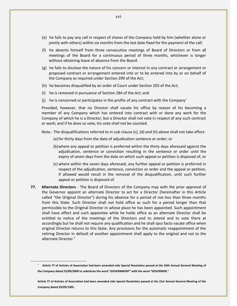- (e) he fails to pay any call in respect of shares of the Company held by him (whether alone or jointly with others) within six months from the last date fixed for the payment of the call;
- (f) he absents himself from three consecutive meetings of Board of Directors or from all meetings of the Board for a continuous period of three months, whichever is longer without obtaining leave of absence from the Board.
- (g) he fails to disclose the nature of his concern or interest in any contract or arrangement or proposed contract or arrangement entered into or to be entered into by or on behalf of the Company as required under Section 299 of the Act;
- (h) he becomes disqualified by an order of Court under Section 203 of the Act;
- (i) he is removed in pursuance of Section 284 of the Act; and
- (j) he is concerned or participates in the profits of any contract with the Company'

Provided, however, that no Director shall vacate his office by reason of his becoming a member of any Company which has entered into contract with or done any work for the Company of which he is a Director, but a Director shall not vote in respect of any such contract or work; and if he does so vote, his vote shall not be counted.

Note.- The disqualifications referred to in sub-clause (c), (d) and (h) above shall not take effect-

- (a)for thirty days from the date of adjudication sentence or order; or
- (b)where any appeal or petition is preferred within the thirty days aforesaid against the adjudication, sentence or conviction resulting in the sentence or order until the expiry of seven days from the date on which such appeal or petition is disposed of; or
- (c) where within the seven days aforesaid, any further appeal or petition is preferred in respect of the adjudication, sentence, conviction or order and the appeal or petition, if allowed would result in the removal of the disqualification, until such further appeal or petition is disposed of.
- **77. Alternate Directors** The Board of Directors of the Company may with the prior approval of the Governor appoint an alternate Director to act for a Director (hereinafter in this Article called "the Original Director") during his absence for a period of not less than three months from this State. Such Director shall not hold office as such for a period longer than that permissible to the Original Director in whose place he has been appointed. Such appointment shall have effect and such appointee while he holds office as an alternate Director shall be entitled to notice of the meetings of the Directors and to attend and to vote there at accordingly but he shall not require any qualification and he shall ipso facto vacate office when original Director returns to this State. Any provisions for the automatic reappointment of the retiring Director in default of another appointment shall apply to the original and not to the alternate Director.<sup>x</sup>

x **Article 77 of Articles of Association had been amended vide Special Resolution passed at the 26th Annual General Meeting of the Company dated 23/09/2000 to substitute the word "GOVERNMENT" with the word "GOVERNOR."** 

**Article 77 of Articles of Association had been amended vide Special Resolution passed at the 21st Annual General Meeting of the Company dated 29/09/1995.**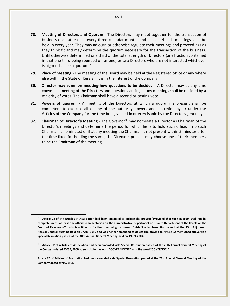- **78. Meeting of Directors and Quorum** The Directors may meet together for the transaction of business once at least in every three calendar months and at least 4 such meetings shall be held in every year. They may adjourn or otherwise regulate their meetings and proceedings as they think fit and may determine the quorum necessary for the transaction of the business. Until otherwise determined one third of the total strength of Directors (any fraction contained in that one third being rounded off as one) or two Directors who are not interested whichever is higher shall be a quorum.<sup>xi</sup>
- **79. Place of Meeting** The meeting of the Board may be held at the Registered office or any where else within the State of Kerala if it is in the interest of the Company.
- **80. Director may summon meeting-how questions to be decided** A Director may at any time convene a meeting of the Directors and questions arising at any meetings shall be decided by a majority of votes. The Chairman shall have a second or casting vote.
- **81. Powers of quorum** A meeting of the Directors at which a quorum is present shall be competent to exercise all or any of the authority powers and discretion by or under the Articles of the Company for the time being vested in or exercisable by the Directors generally.
- 82. **Chairman of Director's Meeting** The Governor<sup>xii</sup> may nominate a Director as Chairman of the Director's meetings and determine the period for which he is to hold such office, if no such Chairman is nominated or if at any meeting the Chairman is not present within 5 minutes after the time fixed for holding the same, the Directors present may choose one of their members to be the Chairman of the meeting.

xi **Article 78 of the Articles of Association had been amended to include the proviso "Provided that such quorum shall not be complete unless at least one official representation on the administrative Department or Finance Department of the Kerala or the Board of Revenue (CS) who is a Director for the time being, is present," vide Special Resolution passed at the 15th Adjourned Annual General Meeting held on 17/01/1995 and was further amended to delete the proviso to Article 82 mentioned above vide Special Resolution passed at the 30th Annual General Meeting held on 19-09-2004.**

xii **Article 82 of Articles of Association had been amended vide Special Resolution passed at the 26th Annual General Meeting of the Company dated 23/09/2000 to substitute the word "GOVERNMENT" with the word "GOVERNOR."** 

**Article 82 of Articles of Association had been amended vide Special Resolution passed at the 21st Annual General Meeting of the Company dated 29/09/1995.**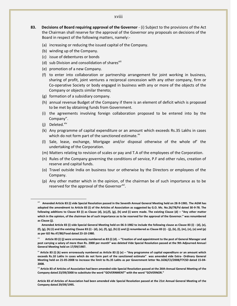#### xviii

- **83. Decisions of Board requiring approval of the Governor** (i) Subject to the provisions of the Act the Chairman shall reserve for the approval of the Governor any proposals on decisions of the Board in respect of the following matters, namely:-
	- (a) increasing or reducing the issued capital of the Company.
	- (b) winding up of the Company.
	- (c) issue of debentures or bonds
	- (d) sub Division and consolidation of sharesxill
	- (e) promotion of a new Company.
	- (f) to enter into collaboration or partnership arrangement for joint working in business, sharing of profit, joint ventures a reciprocal concession with any other company, firm or Co-operative Society or body engaged in business with any or more of the objects of the Company or objects similar thereto;
	- (g) formation of a subsidiary company.
	- (h) annual revenue Budget of the Company if there is an element of deficit which is proposed to be met by obtaining funds from Government.
	- (i) the agreements involving foreign collaboration proposed to be entered into by the Company".
	- (i) Deleted. $x$ iv

- (k) Any programme of capital expenditure or an amount which exceeds Rs.35 Lakhs in cases which do not form part of the sanctioned estimate.<sup>xv</sup>
- (l) Sale, lease, exchange, Mortgage and/or disposal otherwise of the whole of' the undertaking of the Corporation.
- (m) Matters relating to revision of scales or pay and T.A of the employees of the Corporation.
- (n) Rules of the Company governing the conditions of service, P.F and other rules, creation of reserve and capital funds.
- (o) Travel outside India on business tour or otherwise by the Directors or employees of the Company.
- (p) Any other matter which in the opinion, of the chairman be of such importance as to be reserved for the approval of the Governor<sup>xvi</sup>.

xiii **Amended Article 83 (i) vide Special Resolution passed in the Seventh Annual General Meeting held on 28-9-1981. The AGM has adopted the amendment to Article 83 (i) of the Articles of Association as suggested by G.O. Ms. No.26/78/Fd dated 30-9-78. The**  following additions to Clause 83 (i) as Clause (d), (e),(f), (g), (h) and (i) were made. The existing Clause (d) - "Any other matter **which in the opinion, of the chairman be of such importance as to be reserved for the approval of the Governor." was renumbered as Clause (j).**

**Amended Article 83 (i) vide Special General Meeting held on 06-3-1982 to include the following clause as Clause 83 (i) - (d), (e), (f), (g), (h) (i) and the existing Clause 83 (i) - (d), (e), (f), (g), (h) (i) and (j) renumbered as Clause 83 (i) - (j), (k), (l), (m), (n), (o) and (p) as per GO No.47/80/Food dated 23-10-1980.**

xiv **Article 83 (i) (j) were erroneously numbered as 83 (i) (d). – "Creation of and appointment to the post of General Manager and post carrying a salary of more than Rs. 2000 per month" was deleted Vide Special Resolution passed at the 9th Adjourned Annual General Meeting held on 17/09/1987.**

xv **Article 83 (i) (k) were erroneously numbered as Article 83 (i) (e) – "Any programme of capital expenditure or an amount which exceeds Rs.10 Lakhs in cases which do not form part of the sanctioned estimate" was amended vide Extra- Ordinary General Meeting held on 21-05-2008 to increase the limit to Rs.35 Lakhs as per Government letter No.1636/C3/2008/F7CSD dated 15-04- 2008.**

xvi **Article 83 of Articles of Association had been amended vide Special Resolution passed at the 26th Annual General Meeting of the Company dated 23/09/2000 to substitute the word "GOVERNMENT" with the word "GOVERNOR."** 

**Article 83 of Articles of Association had been amended vide Special Resolution passed at the 21st Annual General Meeting of the Company dated 29/09/1995.**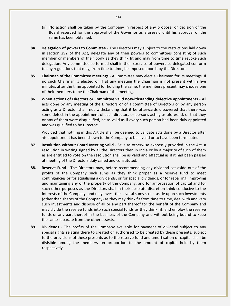- (ii) No action shall be taken by the Company in respect of any proposal or decision of the Board reserved for the approval of the Governor as aforesaid until his approval of the same has been obtained.
- **84. Delegation of powers to Committee** The Directors may subject to the restrictions laid down in section 292 of the Act, delegate any of their powers to committees consisting of such member or members of their body as they think fit and may from time to time revoke such delegation. Any committee so formed shall in their exercise of powers so delegated conform to any regulations that may, from time to time, be imposed upon it by the Directors.
- **85. Chairman of the Committee meetings** A Committee may elect a Chairman for its meetings. If no such Chairman is elected or if at any meeting the Chairman is not present within five minutes after the time appointed for holding the same, the members present may choose one of their members to be the Chairman of the meeting.
- **86. When actions of Directors or Committee valid notwithstanding defective appointments** All acts done by any meeting of the Directors or of a committee of Directors or by any person acting as a Director shall, not withstanding that it be afterwards discovered that there was some defect in the appointment of such directors or persons acting as aforesaid, or that they or any of them were disqualified, be as valid as if every such person had been duly appointed and was qualified to be Director:

Provided that nothing in this Article shall be deemed to validate acts done by a Director after his appointment has been shown to the Company to be invalid or to have been terminated.

- **87. Resolution without Board Meeting valid** Save as otherwise expressly provided in the Act, a resolution in writing signed by all the Directors then in India or by a majority of such of them as are entitled to vote on the resolution shall be as valid and effectual as if it had been passed at meeting of the Directors duly called and constituted.
- **88. Reserve Fund** The Directors may, before recommending any dividend set aside out of the profits of the Company such sums as they think proper as a reserve fund to meet contingencies or for equalising a dividends, or for special dividends, or for repairing, improving and maintaining any of the property of the Company, and for amortisation of capital and for such other purposes as the Directors shall in their absolute discretion think conducive to the interests of the Company, and may invest the several sums so set aside upon such investments (other than shares of the Company) as they may think fit from time to time, deal with and vary such investments and dispose of all or any part thereof for the benefit of the Company and may divide the reserve funds into such special funds as they think fit, and employ the reserve funds or any part thereof in the business of the Company and without being bound to keep the same separate from the other assests.
- **89. Dividends** The profits of the Company available for payment of dividend subject to any special rights relating there to created or authorised to be created by these presents, subject to the provisions of these presents as to the reserve fund and amortisation of capital shall be divisible among the members on proportion to the amount of capital held by them respectively.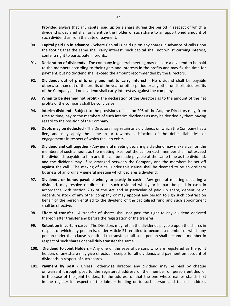Provided always that any capital paid up on a share during the period in respect of which a dividend is declared shall only entitle the holder of such share to an apportioned amount of such dividend as from the date of payment.

- **90. Capital paid up in advance** Where Capital is paid up on any shares in advance of calls upon the footing that the same shall carry interest, such capital shall not whilst carrying interest, confer a right to participate in profits.
- **91. Declaration of dividends** The company in general meeting may declare a dividend to be paid to the members according to their rights and interests in the profits and may fix the time for payment, but no dividend shall exceed the amount recommended by the Directors.
- **92. Dividends out of profits only and not to carry interest** No dividend shall be payable otherwise than out of the profits of the year or other period or any other undistributed profits of the Company and no dividend shall carry interest as against the company.
- **93. When to be deemed not profit** The declaration of the Directors as to the amount of the net profits of the company shall be conclusive.
- **94. Interim dividend** Subject to the provisions of section 205 of the Act, the Directors may, from time to time, pay to the members of such interim dividends as may be decided by them having regard to the position of the Company.
- **95. Debts may be deducted** The Directors may retain any dividends on which the Company has a lien, and may apply the same in or towards satisfaction of the debts, liabilities, or engagements in respect of which the lien exists.
- **96. Dividend and call together** Any general meeting declaring a dividend may make a call on the members of such amount as the meeting fixes, but the call on each member shall not exceed the dividends payable to him and the call be made payable at the same time as the dividend, and the dividend may, if so arranged between the Company and the members be set off against the call. The making of a call under this clause shall be deemed to be an ordinary business of an ordinary general meeting which declares a dividend.
- **97. Dividends or bonus payable wholly or partly in cash** Any general meeting declaring a dividend, may resolve or direct that such dividend wholly or in part be paid in cash in accordance with section 205 of the Act and in particular of paid up share, debenture or debenture stock of any other company or may appoint any person to sign such contract on behalf of the person entitled to the dividend of the capitalised fund and such appointment shall be effective.
- **98. Effect of transfer** A transfer of shares shall not pass the right to any dividend declared thereon after transfer and before the registration of the transfer.
- **99. Retention in certain cases** The Directors may retain the dividends payable upon the shares in respect of which any person is, under Article 21, entitled to become a member or which any person under that clause is entitled to transfer, until such person shall become a member in respect of such shares or shall duly transfer the same.
- **100. Dividend to Joint Holders** Any one of the several persons who are registered as the joint holders of any share may give effectual receipts for all dividends and payment on account of dividends in respect of such shares.
- **101. Payment by post** Unless otherwise directed any dividend may be paid by cheque or warrant through post to the registered address of the member or person entitled or in the case of the joint holders, to the address of that the one whose names stands first in the register in respect of the joint – holding or to such person and to such address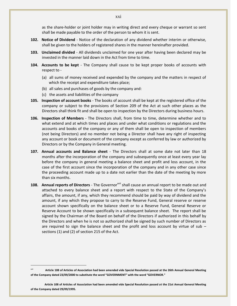as the share-holder or joint holder may in writing direct and every cheque or warrant so sent shall be made payable to the order of the person to whom it is sent.

- **102. Notice of Dividend** Notice of the declaration of any dividend whether interim or otherwise, shall be given to the holders of registered shares in the manner hereinafter provided.
- **103. Unclaimed divided** All dividends unclaimed for one year after having been declared may be invested in the manner laid down in the Act from time to time.
- **104. Accounts to be kept** The Company shall cause to be kept proper books of accounts with respect to -
	- (a) all sums of money received and expended by the company and the matters in respect of which the receipt and expenditure takes place;
	- (b) all sales and purchases of goods by the company and:
	- (c) the assets and liabilities of the company

- **105. Inspection of account books** The books of account shall be kept at the registered office of the company or subject to the provisions of Section 209 of the Act at such other places as the Directors shall think fit and shall be open to inspection by the Directors during business hours.
- **106. Inspection of Members** The Directors shall, from time to time, determine whether and to what extend and at which times and places and under what conditions or regulations and the accounts and books of the company or any of them shall be open to inspection of members (not being Directors) and no member not being a Director shall have any right of inspecting any account or book or document of the company except as conferred by law or authorized by Directors or by the Company in General meeting.
- **107. Annual accounts and Balance sheet** The Directors shall at some date not later than 18 months after the incorporation of the company and subsequently once at least every year lay before the company in general meeting a balance sheet and profit and loss account, in the case of the first account since the incorporation of the company and in any other case since the proceeding account made up to a date not earlier than the date of the meeting by more than six months.
- 108. Annual reports of Directors The Governor<sup>xvii</sup> shall cause an annual report to be made out and attached to every balance sheet and a report with respect to the State of the Company's affairs, the amount, if any, which they recommend should be paid by way of dividend and the amount, if any which they propose to carry to the Reserve Fund, General reserve or reserve account shown specifically on the balance sheet or to a Reserve Fund, General Reserve or Reserve Account to be shown specifically in a subsequent balance sheet. The report shall be signed by the Chairman of the Board on behalf of the Directors if authorized in this behalf by the Directors and when he is not so authorized shall be signed by such number of Directors as are required to sign the balance sheet and the profit and loss account by virtue of sub  $$ sections (1) and (2) of section 215 of the Act.

Article 108 of Articles of Association had been amended vide Special Resolution passed at the 26th Annual General Meeting **of the Company dated 23/09/2000 to substitute the word "GOVERNMENT" with the word "GOVERNOR."** 

**Article 108 of Articles of Association had been amended vide Special Resolution passed at the 21st Annual General Meeting of the Company dated 29/09/1995.**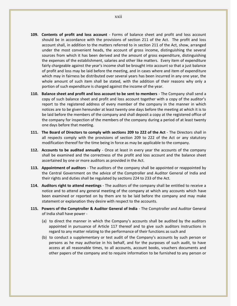- **109. Contents of profit and loss account** Forms of balance sheet and profit and loss account should be in accordance with the provisions of section 211 of the Act. The profit and loss account shall, in addition to the matters referred to in section 211 of the Act, show, arranged under the most convenient heads, the account of gross income, distinguishing the several sources from which it has been derived and the amount of gross expenditure, distinguishing the expenses of the establishment, salaries and other like matters. Every item of expenditure fairly chargeable against the year's income shall be brought into account so that a just balance of profit and loss may be laid before the meeting, and in cases where and item of expenditure which may in fairness be distributed over several years has been incurred in any one year, the whole amount of such item shall be stated, with the addition of their reasons why only a portion of such expenditure is charged against the income of the year.
- **110. Balance sheet and profit and loss account to be sent to members** The Company shall send a copy of such balance sheet and profit and loss account together with a copy of the auditor's report to the registered address of every member of the company in the manner in which notices are to be given hereunder at least twenty one days before the meeting at which it is to be laid before the members of the company and shall deposit a copy at the registered office of the company for inspection of the members of the company during a period of at least twenty one days before that meeting.
- **111. The Board of Directors to comply with sections 209 to 222 of the Act** The Directors shall in all respects comply with the provisions of section 209 to 222 of the Act or any statutory modification thereof for the time being in force as may be applicable to the company.
- **112. Accounts to be audited annually** Once at least in every year the accounts of the company shall be examined and the correctness of the profit and loss account and the balance sheet ascertained by one or more auditors as provided in the Act.
- **113. Appointment of auditors** The auditors of the company shall be appointed or reappointed by the Central Government on the advice of the Comptroller and Auditor General of India and their rights and duties shall be regulated by sections 224 to 233 of the Act.
- **114. Auditors right to attend meetings** The auditors of the company shall be entitled to receive a notice and to attend any general meeting of the company at which any accounts which have been examined or reported on by them are to be laid before the company and may make statement or explanation they desire with respect to the accounts.
- **115. Powers of the Comptroller & Auditor General of India** The Comptroller and Auditor General of India shall have power -
	- (a) to direct the manner in which the Company's accounts shall be audited by the auditors appointed in pursuance of Article 117 thereof and to give such auditors instructions in regard to any matter relating to the performance of their functions as such and
	- (b) to conduct a supplementary or test audit of the Company's accounts by such person or persons as he may authorize in his behalf, and for the purposes of such audit, to have access at all reasonable times, to all accounts, account books, vouchers documents and other papers of the company and to require information to be furnished to any person or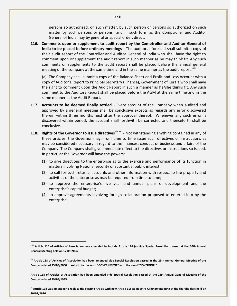persons so authorized, on such matter, by such person or persons so authorized on such matter by such persons or persons and in such form as the Comptroller and Auditor General of India may by general or special order, direct.

**116. Comments upon or supplement to audit report by the Comptroller and Auditor General of India to be placed before ordinary meetings** - The auditors aforesaid shall submit a copy of their audit report of the Controller and Auditor General of India who shall have the right to comment upon or supplement the audit report in such manner as he may think fit. Any such comments or supplements to the audit report shall be placed before the annual general meeting of the company at the same time and in the same manner as the audit report.<sup>xviii</sup>

(a). The Company shall submit a copy of the Balance Sheet and Profit and Loss Account with a copy of Auditor's Report to Principal Secretary (Finance), Government of Kerala who shall have the right to comment upon the Audit Report in such a manner as he/she thinks fit. Any such comment to the Auditors Report shall be placed before the AGM at the same time and in the same manner as the Audit Report.

- **117. Accounts to be deemed finally settled** Every account of the Company when audited and approved by a general meeting shall be conclusive excepts as regards any error discovered therein within three months next after the approval thereof. Whenever any such error is discovered within period, the account shall forthwith be corrected and thenceforth shall be conclusive.
- **118. Rights of the Governor to issue directives***xix xx* Not withstanding anything contained in any of these articles, the Governor may, from time to time issue such directives or instructions as may be considered necessary in regard to the finances, conduct of business and affairs of the Company. The Company shall give immediate effect to the directives or instructions so issued. In particular the Governor will have the powers:
	- (1) to give directions to the enterprise as to the exercise and performance of its function in matters involving National security or substantial public interest;
	- (2) to call for such returns, accounts and other information with respect to the property and activities of the enterprise as may be required from time to time;
	- (3) to approve the enterprise's five year and annual plans of development and the enterprise's capital budget;
	- (4) to approve agreements involving foreign collaboration proposed to entered into by the enterprise.

 $\overline{a}$ 

**Article 118 of Articles of Association had been amended vide Special Resolution passed at the 21st Annual General Meeting of the Company dated 29/09/1995.**

<sup>xx</sup> Article 118 was amended to replace the existing Article with new Article 118 at an Extra-Ordinary meeting of the shareholders held on **10/07/1976.**

#### xxiii

xviii **Article 116 of Articles of Association was amended to include Article 116 (a) vide Special Resolution passed at the 30th Annual General Meeting held on 17-09-2004.**

xix Article 118 of Articles of Association had been amended vide Special Resolution passed at the 26th Annual General Meeting of the **Company dated 23/09/2000 to substitute the word "GOVERNMENT" with the word "GOVERNOR."**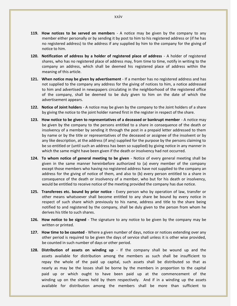- **119. How notices to be served on members** A notice may be given by the company to any member either personally or by sending it by post to him to his registered address or (if he has no registered address) to the address if any supplied by him to the company for the giving of notice to him.
- **120. Notification of address by a holder of registered place of address** A holder of registered shares, who has no registered place of address may, from time to time, notify in writing to the company an address, which shall be deemed his registered place of address within the meaning of this article.
- **121. When notice may be given by advertisement** If a member has no registered address and has not supplied to the company any address for the giving of notices to him, a notice addressed to him and advertised in newspapers circulating in the neighborhood of the registered office of the company, shall be deemed to be duly given to him on the date of which the advertisement appears.
- **122. Notice of Joint holders** A notice may be given by the company to the Joint holders of a share by giving the notice to the joint holder named first in the register in respect of the share.
- **123. How notice to be given to representatives of a deceased or bankrupt member** A notice may be given by the company to the persons entitled to a share in consequence of the death or insolvency of a member by sending it through the post in a prepaid letter addressed to them by name or by the title or representatives of the deceased or assignee of the insolvent or by any like description, at the address (if any) supplied for the purpose by the persons claiming to be so entitled or (until such an address has been so supplied) by giving notice in any manner in which the same might have been given if the death or insolvency had not occurred.
- **124. To whom notice of general meeting to be given** Notice of every general meeting shall be given in the same manner hereinbefore authorized to (a) every member of the company except those members who having no registered address have not supplied to the company an address for the giving of notice of them, and also to (b) every person entitled to a share in consequence of the death or insolvency of a member, who but for his death or insolvency, would be entitled to receive notice of the meeting provided the company has due notice.
- **125. Transferees etc. bound by prior notice** Every person who by operation of law, transfer or other means whatsoever shall become entitled to any share be bound by every notice in respect of such share which previously to his name, address and title to the share being notified to and registered by the company, shall be duly given to the person from whom he derives his title to such shares.
- **126. How notice to be signed** The signature to any notice to be given by the company may be written or printed.
- **127. How time to be counted** Where a given number of days, notice or notices extending over any other period is required to be given the days of service shall unless it is other wise provided, be counted in such number of days or other period.
- **128. Distribution of assets on winding up** If the company shall be wound up and the assets available for distribution among the members as such shall be insufficient to repay the whole of the paid up capital, such assets shall be distributed so that as nearly as may be the losses shall be borne by the members in proportion to the capital paid up or which ought to have been paid up at the commencement of the winding up on the shares held by them respectively. And if in a winding up the assets available for distribution among the members shall be more than sufficient to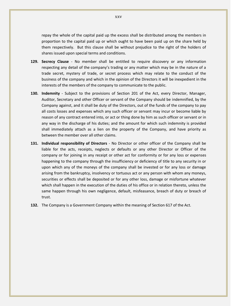repay the whole of the capital paid up the excess shall be distributed among the members in proportion to the capital paid up or which ought to have been paid up on the share held by them respectively. But this clause shall be without prejudice to the right of the holders of shares issued upon special terms and conditions.

- **129. Secrecy Clause** No member shall be entitled to require discovery or any information respecting any detail of the company's trading or any matter which may be in the nature of a trade secret, mystery of trade, or secret process which may relate to the conduct of the business of the company and which in the opinion of the Directors it will be inexpedient in the interests of the members of the company to communicate to the public.
- **130. Indemnity** Subject to the provisions of Section 201 of the Act, every Director, Manager, Auditor, Secretary and other Officer or servant of the Company should be indemnified, by the Company against, and it shall be duty of the Directors, out of the funds of the company to pay all costs losses and expenses which any such officer or servant may incur or become liable by reason of any contract entered into, or act or thing done by him as such officer or servant or in any way in the discharge of his duties; and the amount for which such indemnity is provided shall immediately attach as a lien on the property of the Company, and have priority as between the member over all other claims.
- **131. Individual responsibility of Directors** No Director or other officer of the Company shall be liable for the acts, receipts, neglects or defaults or any other Director or Officer of the company or for joining in any receipt or other act for conformity or for any loss or expenses happening to the company through the insufficiency or deficiency of title to any security in or upon which any of the moneys of the company shall be invested or for any loss or damage arising from the bankruptcy, insolvency or tortuous act or any person with whom any moneys, securities or effects shall be deposited or for any other loss, damage or misfortune whatever which shall happen in the execution of the duties of his office or in relation thereto, unless the same happen through his own negligence, default, misfeasance, breach of duty or breach of trust.
- **132.** The Company is a Government Company within the meaning of Section 617 of the Act.